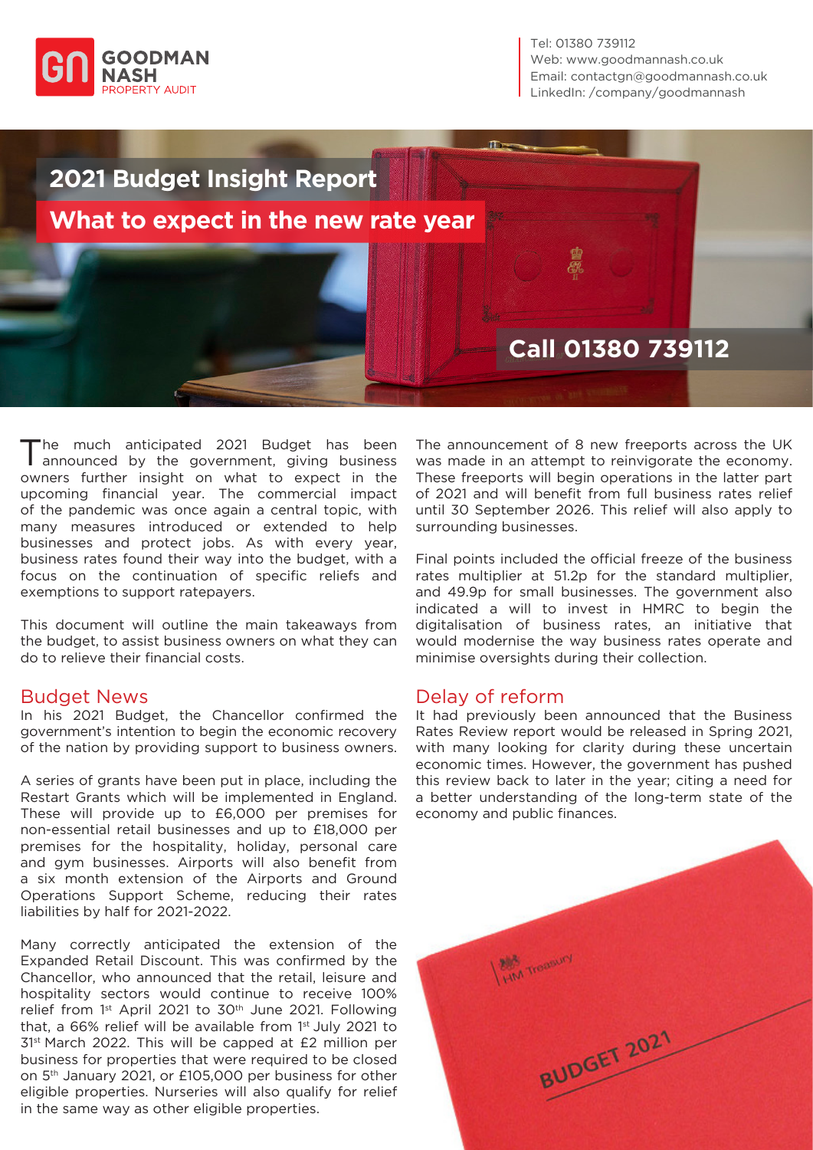

Tel: 01380 739112 Web: www.goodmannash.co.uk Email: contactgn@goodmannash.co.uk LinkedIn: [/company/goodmannash](https://www.linkedin.com/company/goodmannash/mycompany/?viewAsMember=true)



The much anticipated 2021 Budget has been announced by the government, giving business owners further insight on what to expect in the upcoming financial year. The commercial impact of the pandemic was once again a central topic, with many measures introduced or extended to help businesses and protect jobs. As with every year, business rates found their way into the budget, with a focus on the continuation of specific reliefs and exemptions to support ratepayers.

This document will outline the main takeaways from the budget, to assist business owners on what they can do to relieve their financial costs.

#### Budget News

In his 2021 Budget, the Chancellor confirmed the government's intention to begin the economic recovery of the nation by providing support to business owners.

A series of grants have been put in place, including the Restart Grants which will be implemented in England. These will provide up to £6,000 per premises for non-essential retail businesses and up to £18,000 per premises for the hospitality, holiday, personal care and gym businesses. Airports will also benefit from a six month extension of the Airports and Ground Operations Support Scheme, reducing their rates liabilities by half for 2021-2022.

Many correctly anticipated the extension of the Expanded Retail Discount. This was confirmed by the Chancellor, who announced that the retail, leisure and hospitality sectors would continue to receive 100% relief from 1st April 2021 to 30th June 2021. Following that, a 66% relief will be available from 1st July 2021 to 31st March 2022. This will be capped at £2 million per business for properties that were required to be closed on 5th January 2021, or £105,000 per business for other eligible properties. Nurseries will also qualify for relief in the same way as other eligible properties.

The announcement of 8 new freeports across the UK was made in an attempt to reinvigorate the economy. These freeports will begin operations in the latter part of 2021 and will benefit from full business rates relief until 30 September 2026. This relief will also apply to surrounding businesses.

Final points included the official freeze of the business rates multiplier at 51.2p for the standard multiplier, and 49.9p for small businesses. The government also indicated a will to invest in HMRC to begin the digitalisation of business rates, an initiative that would modernise the way business rates operate and minimise oversights during their collection.

#### Delay of reform

It had previously been announced that the Business Rates Review report would be released in Spring 2021, with many looking for clarity during these uncertain economic times. However, the government has pushed this review back to later in the year; citing a need for a better understanding of the long-term state of the economy and public finances.